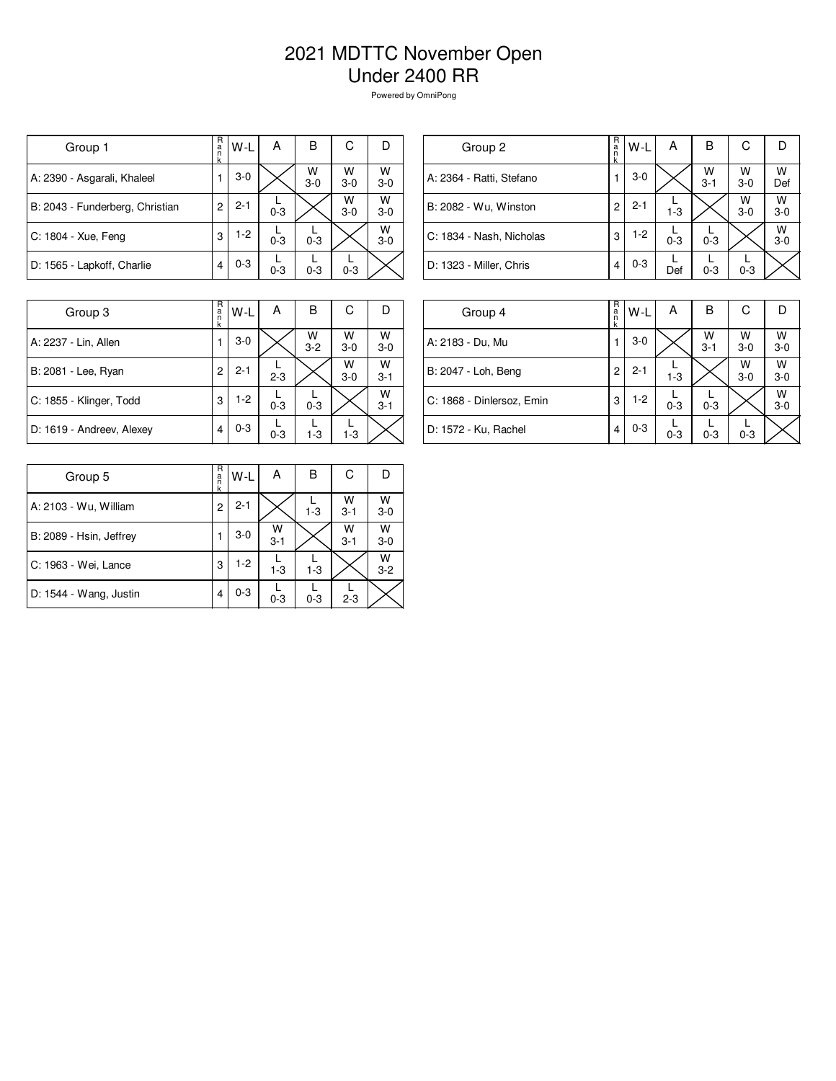## 2021 MDTTC November Open Under 2400 RR

Powered by OmniPong

| Group 1                         | R<br>a<br>n    | W-L     | А       | В          | С          | IJ         |
|---------------------------------|----------------|---------|---------|------------|------------|------------|
| A: 2390 - Asgarali, Khaleel     |                | $3-0$   |         | W<br>$3-0$ | W<br>$3-0$ | W<br>$3-0$ |
| B: 2043 - Funderberg, Christian | $\overline{c}$ | $2 - 1$ | $0 - 3$ |            | W<br>$3-0$ | W<br>$3-0$ |
| C: 1804 - Xue, Feng             | 3              | $1-2$   | $0 - 3$ | $0 - 3$    |            | W<br>$3-0$ |
| D: 1565 - Lapkoff, Charlie      | 4              | $0 - 3$ | $0 - 3$ | $0 - 3$    | $0 - 3$    |            |

| Group 2                  | R<br>$\frac{a}{n}$<br>k | $W-L$   | А       | B            | С          |              |
|--------------------------|-------------------------|---------|---------|--------------|------------|--------------|
| A: 2364 - Ratti, Stefano |                         | $3-0$   |         | W<br>$3 - 1$ | W<br>$3-0$ | W<br>Def     |
| B: 2082 - Wu, Winston    | 2                       | $2 - 1$ | $1 - 3$ |              | W<br>$3-0$ | W<br>$3-0$   |
| C: 1834 - Nash, Nicholas | 3                       | $1-2$   | $0 - 3$ | $0 - 3$      |            | W<br>$3 - 0$ |
| D: 1323 - Miller, Chris  | 4                       | $0 - 3$ | Def     | $0 - 3$      | $0 - 3$    |              |
|                          |                         |         |         |              |            |              |

| Group 3                   | R<br>a<br>n<br>k | W-L     | A       | в            | С          |              |
|---------------------------|------------------|---------|---------|--------------|------------|--------------|
| A: 2237 - Lin, Allen      |                  | $3-0$   |         | W<br>$3 - 2$ | W<br>$3-0$ | W<br>$3 - 0$ |
| B: 2081 - Lee, Ryan       | 2                | $2 - 1$ | $2 - 3$ |              | W<br>$3-0$ | W<br>$3 - 1$ |
| C: 1855 - Klinger, Todd   | 3                | $1-2$   | $0 - 3$ | $0 - 3$      |            | W<br>$3 - 1$ |
| D: 1619 - Andreev, Alexey | 4                | $0 - 3$ | $0 - 3$ | $1 - 3$      | $1 - 3$    |              |

| Group 4                   | R<br>$\frac{a}{n}$<br>k | $W-L$   | А       | в            | С          |              |
|---------------------------|-------------------------|---------|---------|--------------|------------|--------------|
| A: 2183 - Du, Mu          |                         | $3-0$   |         | W<br>$3 - 1$ | W<br>$3-0$ | W<br>$3 - 0$ |
| B: 2047 - Loh, Beng       | 2                       | $2 - 1$ | $1 - 3$ |              | W<br>$3-0$ | W<br>$3 - 0$ |
| C: 1868 - Dinlersoz, Emin | 3                       | $1-2$   | $0 - 3$ | $0 - 3$      |            | W<br>$3 - 0$ |
| D: 1572 - Ku, Rachel      | 4                       | $0 - 3$ | $0 - 3$ | $0 - 3$      | $0 - 3$    |              |

| Group 5                 | R<br>a<br>n<br>k | W-L     | Α            | В       | С            |              |
|-------------------------|------------------|---------|--------------|---------|--------------|--------------|
| A: 2103 - Wu, William   | 2                | $2 - 1$ |              | $1 - 3$ | W<br>$3 - 1$ | W<br>$3-0$   |
| B: 2089 - Hsin, Jeffrey |                  | $3-0$   | W<br>$3 - 1$ |         | W<br>$3 - 1$ | W<br>$3 - 0$ |
| C: 1963 - Wei, Lance    | 3                | $1-2$   | $1 - 3$      | $1 - 3$ |              | W<br>$3 - 2$ |
| D: 1544 - Wang, Justin  | 4                | $0 - 3$ | $0 - 3$      | $0 - 3$ | $2 - 3$      |              |